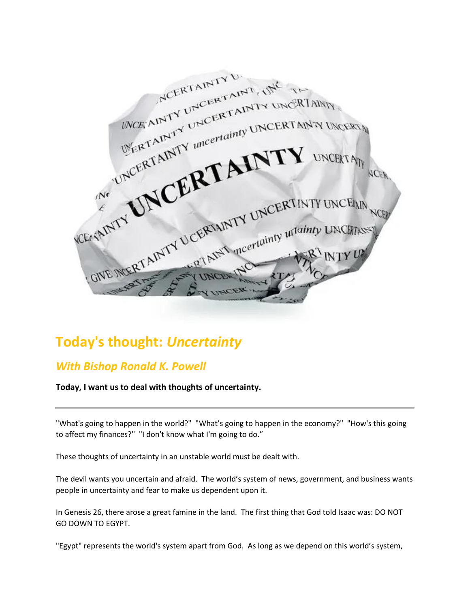NCERTAINTY U. MORAINTY UNCERTAINTY UNCERTAIN NCE AINTY UNCERTAINTY UNCERTAINTY WERTAINTY UNCERTAINTY UNCERTAINTY WERTAINTY uncertainty UNCERTAINTY UNCERTAINTY GIVE MERTAINTY UCERTAINTY UNCERTINTY UNCEIN **VCEASINTY** CERTAINTY UNCERTAINTY WELFAST

## **Today's thought:** *Uncertainty*

## *With Bishop Ronald K. Powell*

**Today, I want us to deal with thoughts of uncertainty.**

"What's going to happen in the world?" "What's going to happen in the economy?" "How's this going to affect my finances?" "I don't know what I'm going to do."

These thoughts of uncertainty in an unstable world must be dealt with.

The devil wants you uncertain and afraid. The world's system of news, government, and business wants people in uncertainty and fear to make us dependent upon it.

In Genesis 26, there arose a great famine in the land. The first thing that God told Isaac was: DO NOT GO DOWN TO EGYPT.

"Egypt" represents the world's system apart from God. As long as we depend on this world's system,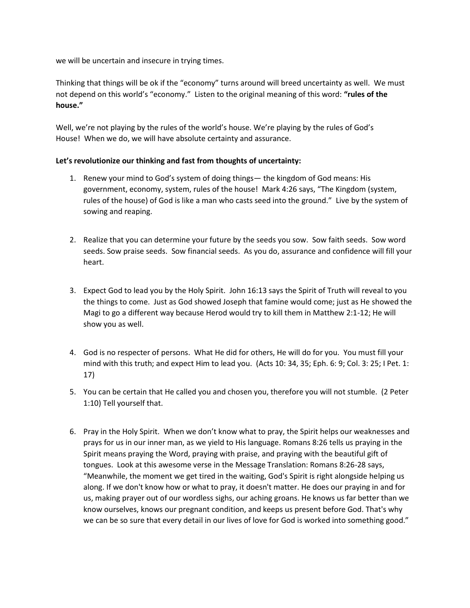we will be uncertain and insecure in trying times.

Thinking that things will be ok if the "economy" turns around will breed uncertainty as well. We must not depend on this world's "economy." Listen to the original meaning of this word: **"rules of the house."**

Well, we're not playing by the rules of the world's house. We're playing by the rules of God's House! When we do, we will have absolute certainty and assurance.

## **Let's revolutionize our thinking and fast from thoughts of uncertainty:**

- 1. Renew your mind to God's system of doing things— the kingdom of God means: His government, economy, system, rules of the house! Mark 4:26 says, "The Kingdom (system, rules of the house) of God is like a man who casts seed into the ground." Live by the system of sowing and reaping.
- 2. Realize that you can determine your future by the seeds you sow. Sow faith seeds. Sow word seeds. Sow praise seeds. Sow financial seeds. As you do, assurance and confidence will fill your heart.
- 3. Expect God to lead you by the Holy Spirit. John 16:13 says the Spirit of Truth will reveal to you the things to come. Just as God showed Joseph that famine would come; just as He showed the Magi to go a different way because Herod would try to kill them in Matthew 2:1-12; He will show you as well.
- 4. God is no respecter of persons. What He did for others, He will do for you. You must fill your mind with this truth; and expect Him to lead you. (Acts 10: 34, 35; Eph. 6: 9; Col. 3: 25; I Pet. 1: 17)
- 5. You can be certain that He called you and chosen you, therefore you will not stumble. (2 Peter 1:10) Tell yourself that.
- 6. Pray in the Holy Spirit. When we don't know what to pray, the Spirit helps our weaknesses and prays for us in our inner man, as we yield to His language. Romans 8:26 tells us praying in the Spirit means praying the Word, praying with praise, and praying with the beautiful gift of tongues. Look at this awesome verse in the Message Translation: Romans 8:26-28 says, "Meanwhile, the moment we get tired in the waiting, God's Spirit is right alongside helping us along. If we don't know how or what to pray, it doesn't matter. He does our praying in and for us, making prayer out of our wordless sighs, our aching groans. He knows us far better than we know ourselves, knows our pregnant condition, and keeps us present before God. That's why we can be so sure that every detail in our lives of love for God is worked into something good."